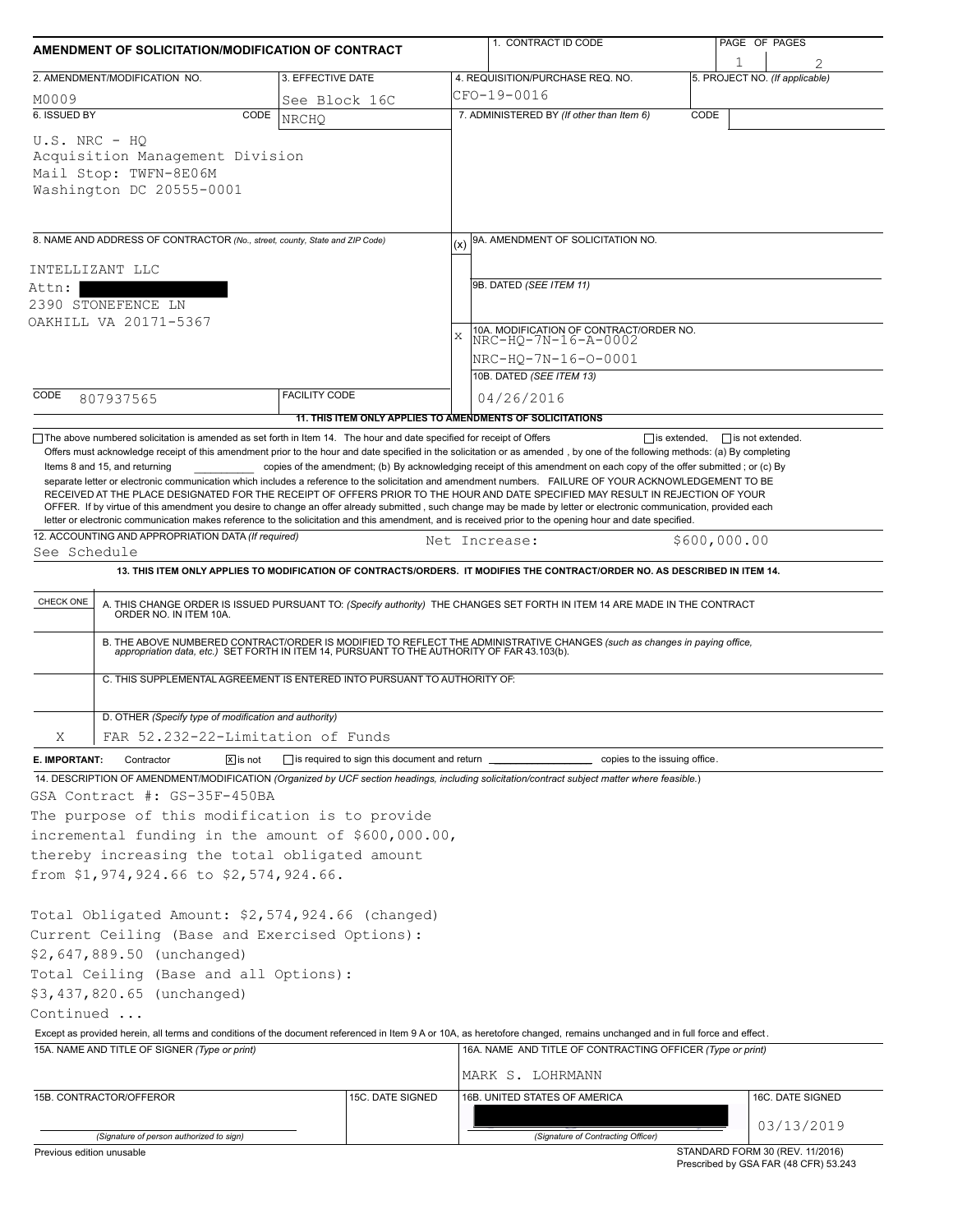| AMENDMENT OF SOLICITATION/MODIFICATION OF CONTRACT                                                                                                                                                                                                                                                                                                                                                                                                                                                                                                                                                                                                                                 |                                                           |              | 1. CONTRACT ID CODE                                                                                                                                                                                                   |              | PAGE OF PAGES                       |  |  |  |  |
|------------------------------------------------------------------------------------------------------------------------------------------------------------------------------------------------------------------------------------------------------------------------------------------------------------------------------------------------------------------------------------------------------------------------------------------------------------------------------------------------------------------------------------------------------------------------------------------------------------------------------------------------------------------------------------|-----------------------------------------------------------|--------------|-----------------------------------------------------------------------------------------------------------------------------------------------------------------------------------------------------------------------|--------------|-------------------------------------|--|--|--|--|
| 2. AMENDMENT/MODIFICATION NO.                                                                                                                                                                                                                                                                                                                                                                                                                                                                                                                                                                                                                                                      | 3. EFFECTIVE DATE                                         |              | 4. REQUISITION/PURCHASE REQ. NO.                                                                                                                                                                                      |              | 1<br>5. PROJECT NO. (If applicable) |  |  |  |  |
| M0009                                                                                                                                                                                                                                                                                                                                                                                                                                                                                                                                                                                                                                                                              | See Block 16C                                             |              | CFO-19-0016                                                                                                                                                                                                           |              |                                     |  |  |  |  |
| 6. ISSUED BY<br>CODE                                                                                                                                                                                                                                                                                                                                                                                                                                                                                                                                                                                                                                                               | <b>NRCHO</b>                                              |              | 7. ADMINISTERED BY (If other than Item 6)                                                                                                                                                                             | CODE         |                                     |  |  |  |  |
| $U.S. NRC - HO$<br>Acquisition Management Division<br>Mail Stop: TWFN-8E06M<br>Washington DC 20555-0001                                                                                                                                                                                                                                                                                                                                                                                                                                                                                                                                                                            |                                                           |              |                                                                                                                                                                                                                       |              |                                     |  |  |  |  |
| 8. NAME AND ADDRESS OF CONTRACTOR (No., street, county, State and ZIP Code)                                                                                                                                                                                                                                                                                                                                                                                                                                                                                                                                                                                                        |                                                           | (x)          | 9A. AMENDMENT OF SOLICITATION NO.                                                                                                                                                                                     |              |                                     |  |  |  |  |
| INTELLIZANT LLC                                                                                                                                                                                                                                                                                                                                                                                                                                                                                                                                                                                                                                                                    |                                                           |              |                                                                                                                                                                                                                       |              |                                     |  |  |  |  |
| Attn:                                                                                                                                                                                                                                                                                                                                                                                                                                                                                                                                                                                                                                                                              |                                                           |              | 9B. DATED (SEE ITEM 11)                                                                                                                                                                                               |              |                                     |  |  |  |  |
| 2390 STONEFENCE LN                                                                                                                                                                                                                                                                                                                                                                                                                                                                                                                                                                                                                                                                 |                                                           |              |                                                                                                                                                                                                                       |              |                                     |  |  |  |  |
| OAKHILL VA 20171-5367                                                                                                                                                                                                                                                                                                                                                                                                                                                                                                                                                                                                                                                              |                                                           | $\mathbf{x}$ | 10A. MODIFICATION OF CONTRACT/ORDER NO.<br>NRC-HQ-7N-16-A-0002                                                                                                                                                        |              |                                     |  |  |  |  |
|                                                                                                                                                                                                                                                                                                                                                                                                                                                                                                                                                                                                                                                                                    |                                                           |              | NRC-HQ-7N-16-0-0001                                                                                                                                                                                                   |              |                                     |  |  |  |  |
|                                                                                                                                                                                                                                                                                                                                                                                                                                                                                                                                                                                                                                                                                    |                                                           |              | 10B. DATED (SEE ITEM 13)                                                                                                                                                                                              |              |                                     |  |  |  |  |
| CODE<br>807937565                                                                                                                                                                                                                                                                                                                                                                                                                                                                                                                                                                                                                                                                  | <b>FACILITY CODE</b>                                      |              | 04/26/2016                                                                                                                                                                                                            |              |                                     |  |  |  |  |
|                                                                                                                                                                                                                                                                                                                                                                                                                                                                                                                                                                                                                                                                                    | 11. THIS ITEM ONLY APPLIES TO AMENDMENTS OF SOLICITATIONS |              |                                                                                                                                                                                                                       |              |                                     |  |  |  |  |
| Offers must acknowledge receipt of this amendment prior to the hour and date specified in the solicitation or as amended, by one of the following methods: (a) By completing<br>Items 8 and 15, and returning<br>separate letter or electronic communication which includes a reference to the solicitation and amendment numbers. FAILURE OF YOUR ACKNOWLEDGEMENT TO BE<br>RECEIVED AT THE PLACE DESIGNATED FOR THE RECEIPT OF OFFERS PRIOR TO THE HOUR AND DATE SPECIFIED MAY RESULT IN REJECTION OF YOUR<br>OFFER. If by virtue of this amendment you desire to change an offer already submitted, such change may be made by letter or electronic communication, provided each |                                                           |              | copies of the amendment; (b) By acknowledging receipt of this amendment on each copy of the offer submitted; or (c) By                                                                                                |              |                                     |  |  |  |  |
| letter or electronic communication makes reference to the solicitation and this amendment, and is received prior to the opening hour and date specified.<br>12. ACCOUNTING AND APPROPRIATION DATA (If required)                                                                                                                                                                                                                                                                                                                                                                                                                                                                    |                                                           |              |                                                                                                                                                                                                                       |              |                                     |  |  |  |  |
| See Schedule                                                                                                                                                                                                                                                                                                                                                                                                                                                                                                                                                                                                                                                                       |                                                           |              | Net Increase:                                                                                                                                                                                                         | \$600,000.00 |                                     |  |  |  |  |
|                                                                                                                                                                                                                                                                                                                                                                                                                                                                                                                                                                                                                                                                                    |                                                           |              | 13. THIS ITEM ONLY APPLIES TO MODIFICATION OF CONTRACTS/ORDERS. IT MODIFIES THE CONTRACT/ORDER NO. AS DESCRIBED IN ITEM 14.                                                                                           |              |                                     |  |  |  |  |
| CHECK ONE                                                                                                                                                                                                                                                                                                                                                                                                                                                                                                                                                                                                                                                                          |                                                           |              | A. THIS CHANGE ORDER IS ISSUED PURSUANT TO: (Specify authority) THE CHANGES SET FORTH IN ITEM 14 ARE MADE IN THE CONTRACT ORDER NO. IN ITEM 10A.                                                                      |              |                                     |  |  |  |  |
|                                                                                                                                                                                                                                                                                                                                                                                                                                                                                                                                                                                                                                                                                    |                                                           |              | B. THE ABOVE NUMBERED CONTRACT/ORDER IS MODIFIED TO REFLECT THE ADMINISTRATIVE CHANGES (such as changes in paying office, appropriation data, etc.) SET FORTH IN ITEM 14, PURSUANT TO THE AUTHORITY OF FAR 43.103(b). |              |                                     |  |  |  |  |
| C. THIS SUPPLEMENTAL AGREEMENT IS ENTERED INTO PURSUANT TO AUTHORITY OF:                                                                                                                                                                                                                                                                                                                                                                                                                                                                                                                                                                                                           |                                                           |              |                                                                                                                                                                                                                       |              |                                     |  |  |  |  |
| D. OTHER (Specify type of modification and authority)                                                                                                                                                                                                                                                                                                                                                                                                                                                                                                                                                                                                                              |                                                           |              |                                                                                                                                                                                                                       |              |                                     |  |  |  |  |
| FAR 52.232-22-Limitation of Funds<br>Χ                                                                                                                                                                                                                                                                                                                                                                                                                                                                                                                                                                                                                                             |                                                           |              |                                                                                                                                                                                                                       |              |                                     |  |  |  |  |
| $\boxed{\mathsf{X}}$ is not<br>E. IMPORTANT:<br>Contractor                                                                                                                                                                                                                                                                                                                                                                                                                                                                                                                                                                                                                         | $\Box$ is required to sign this document and return       |              | copies to the issuing office.                                                                                                                                                                                         |              |                                     |  |  |  |  |
| 14. DESCRIPTION OF AMENDMENT/MODIFICATION (Organized by UCF section headings, including solicitation/contract subject matter where feasible.)                                                                                                                                                                                                                                                                                                                                                                                                                                                                                                                                      |                                                           |              |                                                                                                                                                                                                                       |              |                                     |  |  |  |  |
| GSA Contract #: GS-35F-450BA                                                                                                                                                                                                                                                                                                                                                                                                                                                                                                                                                                                                                                                       |                                                           |              |                                                                                                                                                                                                                       |              |                                     |  |  |  |  |
| The purpose of this modification is to provide                                                                                                                                                                                                                                                                                                                                                                                                                                                                                                                                                                                                                                     |                                                           |              |                                                                                                                                                                                                                       |              |                                     |  |  |  |  |
| incremental funding in the amount of \$600,000.00,                                                                                                                                                                                                                                                                                                                                                                                                                                                                                                                                                                                                                                 |                                                           |              |                                                                                                                                                                                                                       |              |                                     |  |  |  |  |
| thereby increasing the total obligated amount<br>from \$1,974,924.66 to \$2,574,924.66.                                                                                                                                                                                                                                                                                                                                                                                                                                                                                                                                                                                            |                                                           |              |                                                                                                                                                                                                                       |              |                                     |  |  |  |  |
|                                                                                                                                                                                                                                                                                                                                                                                                                                                                                                                                                                                                                                                                                    |                                                           |              |                                                                                                                                                                                                                       |              |                                     |  |  |  |  |
| Total Obligated Amount: \$2,574,924.66 (changed)                                                                                                                                                                                                                                                                                                                                                                                                                                                                                                                                                                                                                                   |                                                           |              |                                                                                                                                                                                                                       |              |                                     |  |  |  |  |
| Current Ceiling (Base and Exercised Options):                                                                                                                                                                                                                                                                                                                                                                                                                                                                                                                                                                                                                                      |                                                           |              |                                                                                                                                                                                                                       |              |                                     |  |  |  |  |
| \$2,647,889.50 (unchanged)                                                                                                                                                                                                                                                                                                                                                                                                                                                                                                                                                                                                                                                         |                                                           |              |                                                                                                                                                                                                                       |              |                                     |  |  |  |  |
| Total Ceiling (Base and all Options):                                                                                                                                                                                                                                                                                                                                                                                                                                                                                                                                                                                                                                              |                                                           |              |                                                                                                                                                                                                                       |              |                                     |  |  |  |  |
| \$3,437,820.65 (unchanged)                                                                                                                                                                                                                                                                                                                                                                                                                                                                                                                                                                                                                                                         |                                                           |              |                                                                                                                                                                                                                       |              |                                     |  |  |  |  |
| Continued                                                                                                                                                                                                                                                                                                                                                                                                                                                                                                                                                                                                                                                                          |                                                           |              |                                                                                                                                                                                                                       |              |                                     |  |  |  |  |
| Except as provided herein, all terms and conditions of the document referenced in Item 9 A or 10A, as heretofore changed, remains unchanged and in full force and effect.<br>15A. NAME AND TITLE OF SIGNER (Type or print)                                                                                                                                                                                                                                                                                                                                                                                                                                                         |                                                           |              | 16A. NAME AND TITLE OF CONTRACTING OFFICER (Type or print)                                                                                                                                                            |              |                                     |  |  |  |  |
|                                                                                                                                                                                                                                                                                                                                                                                                                                                                                                                                                                                                                                                                                    |                                                           |              |                                                                                                                                                                                                                       |              |                                     |  |  |  |  |
|                                                                                                                                                                                                                                                                                                                                                                                                                                                                                                                                                                                                                                                                                    |                                                           |              | MARK S. LOHRMANN                                                                                                                                                                                                      |              |                                     |  |  |  |  |
| 15B. CONTRACTOR/OFFEROR                                                                                                                                                                                                                                                                                                                                                                                                                                                                                                                                                                                                                                                            | 15C. DATE SIGNED                                          |              | 16B. UNITED STATES OF AMERICA                                                                                                                                                                                         |              | 16C. DATE SIGNED                    |  |  |  |  |
|                                                                                                                                                                                                                                                                                                                                                                                                                                                                                                                                                                                                                                                                                    |                                                           |              |                                                                                                                                                                                                                       |              | 03/13/2019                          |  |  |  |  |
| (Signature of person authorized to sign)<br>Previous edition unusable                                                                                                                                                                                                                                                                                                                                                                                                                                                                                                                                                                                                              |                                                           |              | (Signature of Contracting Officer)                                                                                                                                                                                    |              | STANDARD FORM 30 (REV. 11/2016)     |  |  |  |  |

Prescribed by GSA FAR (48 CFR) 53.243